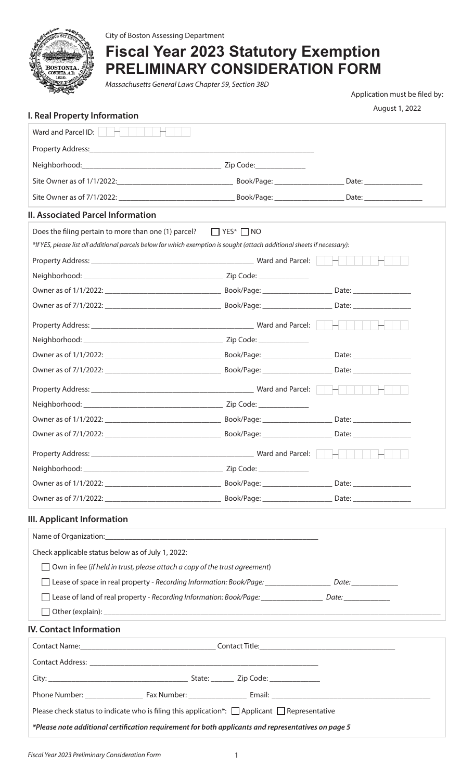

City of Boston Assessing Department

# **Fiscal Year 2023 Statutory Exemption PRELIMINARY CONSIDERATION FORM**

*Massachusetts General Laws Chapter 59, Section 38D*

Application must be filed by:

August 1, 2022

| I. Real Property Information                                                                                             |                                                                                                                                                                                                                                      |
|--------------------------------------------------------------------------------------------------------------------------|--------------------------------------------------------------------------------------------------------------------------------------------------------------------------------------------------------------------------------------|
|                                                                                                                          |                                                                                                                                                                                                                                      |
|                                                                                                                          |                                                                                                                                                                                                                                      |
|                                                                                                                          |                                                                                                                                                                                                                                      |
|                                                                                                                          |                                                                                                                                                                                                                                      |
|                                                                                                                          |                                                                                                                                                                                                                                      |
| <b>II. Associated Parcel Information</b>                                                                                 |                                                                                                                                                                                                                                      |
| Does the filing pertain to more than one (1) parcel? $\Box$ YES* $\Box$ NO                                               |                                                                                                                                                                                                                                      |
| *If YES, please list all additional parcels below for which exemption is sought (attach additional sheets if necessary): |                                                                                                                                                                                                                                      |
|                                                                                                                          |                                                                                                                                                                                                                                      |
|                                                                                                                          |                                                                                                                                                                                                                                      |
|                                                                                                                          |                                                                                                                                                                                                                                      |
|                                                                                                                          |                                                                                                                                                                                                                                      |
|                                                                                                                          |                                                                                                                                                                                                                                      |
|                                                                                                                          |                                                                                                                                                                                                                                      |
|                                                                                                                          |                                                                                                                                                                                                                                      |
|                                                                                                                          |                                                                                                                                                                                                                                      |
|                                                                                                                          |                                                                                                                                                                                                                                      |
|                                                                                                                          |                                                                                                                                                                                                                                      |
|                                                                                                                          |                                                                                                                                                                                                                                      |
|                                                                                                                          |                                                                                                                                                                                                                                      |
|                                                                                                                          |                                                                                                                                                                                                                                      |
| Property Address:                                                                                                        | Ward and Parcel: <b>And Accelerate Service Service Service Service Service Service Service Service Service Service Service Service Service Service Service Service Service Service Service Service Service Service Service Servi</b> |
|                                                                                                                          |                                                                                                                                                                                                                                      |
|                                                                                                                          |                                                                                                                                                                                                                                      |
| III. Applicant Information                                                                                               |                                                                                                                                                                                                                                      |
|                                                                                                                          |                                                                                                                                                                                                                                      |
| Check applicable status below as of July 1, 2022:                                                                        |                                                                                                                                                                                                                                      |
| Own in fee (if held in trust, please attach a copy of the trust agreement)                                               |                                                                                                                                                                                                                                      |
|                                                                                                                          |                                                                                                                                                                                                                                      |
| Lease of land of real property - Recording Information: Book/Page: ___________________ Date: _____________               |                                                                                                                                                                                                                                      |
|                                                                                                                          |                                                                                                                                                                                                                                      |
| <b>IV. Contact Information</b>                                                                                           |                                                                                                                                                                                                                                      |
|                                                                                                                          |                                                                                                                                                                                                                                      |
|                                                                                                                          |                                                                                                                                                                                                                                      |
|                                                                                                                          |                                                                                                                                                                                                                                      |
|                                                                                                                          |                                                                                                                                                                                                                                      |
|                                                                                                                          |                                                                                                                                                                                                                                      |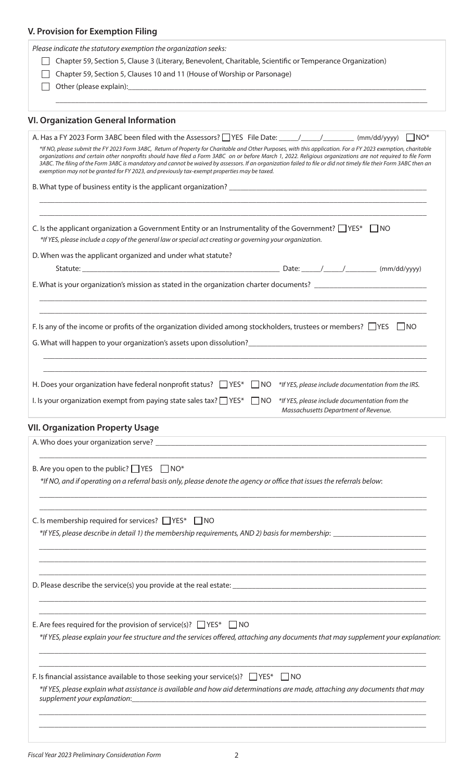| V. Provision for Exemption Filing                                                                                                                                                                                                                                                                                                                                                                                                                                                                                                                                                                 |
|---------------------------------------------------------------------------------------------------------------------------------------------------------------------------------------------------------------------------------------------------------------------------------------------------------------------------------------------------------------------------------------------------------------------------------------------------------------------------------------------------------------------------------------------------------------------------------------------------|
| Please indicate the statutory exemption the organization seeks:                                                                                                                                                                                                                                                                                                                                                                                                                                                                                                                                   |
| Chapter 59, Section 5, Clause 3 (Literary, Benevolent, Charitable, Scientific or Temperance Organization)                                                                                                                                                                                                                                                                                                                                                                                                                                                                                         |
| Chapter 59, Section 5, Clauses 10 and 11 (House of Worship or Parsonage)                                                                                                                                                                                                                                                                                                                                                                                                                                                                                                                          |
|                                                                                                                                                                                                                                                                                                                                                                                                                                                                                                                                                                                                   |
|                                                                                                                                                                                                                                                                                                                                                                                                                                                                                                                                                                                                   |
| <b>VI. Organization General Information</b>                                                                                                                                                                                                                                                                                                                                                                                                                                                                                                                                                       |
| *If NO, please submit the FY 2023 Form 3ABC, Return of Property for Charitable and Other Purposes, with this application. For a FY 2023 exemption, charitable<br>organizations and certain other nonprofits should have filed a Form 3ABC on or before March 1, 2022. Religious organizations are not required to file Form<br>3ABC. The filing of the Form 3ABC is mandatory and cannot be waived by assessors. If an organization failed to file or did not timely file their Form 3ABC then an<br>exemption may not be granted for FY 2023, and previously tax-exempt properties may be taxed. |
|                                                                                                                                                                                                                                                                                                                                                                                                                                                                                                                                                                                                   |
| C. Is the applicant organization a Government Entity or an Instrumentality of the Government? $\Box$ YES* $\Box$ NO<br>*If YES, please include a copy of the general law or special act creating or governing your organization.                                                                                                                                                                                                                                                                                                                                                                  |
| D. When was the applicant organized and under what statute?                                                                                                                                                                                                                                                                                                                                                                                                                                                                                                                                       |
| E. What is your organization's mission as stated in the organization charter documents? ____________________________                                                                                                                                                                                                                                                                                                                                                                                                                                                                              |
| F. Is any of the income or profits of the organization divided among stockholders, trustees or members? $\Box$ YES $\Box$ NO<br>G. What will happen to your organization's assets upon dissolution?<br>Submanization 2011 10:00 10:00 10:00 10:00 10:00 10:00 10:00 10:00 10:00 10:00 10:00 10:00 10:00 10:00 10:00 1                                                                                                                                                                                                                                                                             |
| H. Does your organization have federal nonprofit status? $\Box$ YES*<br>$\Box$ NO<br>*If YES, please include documentation from the IRS.<br>I. Is your organization exempt from paying state sales tax? $\Box$ YES*<br>$\Box$ NO<br>*If YES, please include documentation from the<br>Massachusetts Department of Revenue.                                                                                                                                                                                                                                                                        |
| <b>VII. Organization Property Usage</b>                                                                                                                                                                                                                                                                                                                                                                                                                                                                                                                                                           |
|                                                                                                                                                                                                                                                                                                                                                                                                                                                                                                                                                                                                   |
| B. Are you open to the public? $\Box$ YES $\Box$ NO*<br>*If NO, and if operating on a referral basis only, please denote the agency or office that issues the referrals below:                                                                                                                                                                                                                                                                                                                                                                                                                    |
| C. Is membership required for services? $\Box$ YES* $\Box$ NO                                                                                                                                                                                                                                                                                                                                                                                                                                                                                                                                     |
|                                                                                                                                                                                                                                                                                                                                                                                                                                                                                                                                                                                                   |
| E. Are fees required for the provision of service(s)? $\Box$ YES* $\Box$ NO<br>*If YES, please explain your fee structure and the services offered, attaching any documents that may supplement your explanation:                                                                                                                                                                                                                                                                                                                                                                                 |
| F. Is financial assistance available to those seeking your service(s)? $\Box$ YES* $\Box$ NO<br>*If YES, please explain what assistance is available and how aid determinations are made, attaching any documents that may<br>supplement your explanation: example and a state of the state of the state of the state of the state of the state of the state of the state of the state of the state of the state of the state of the state of the state of t                                                                                                                                      |

*\_\_\_\_\_\_\_\_\_\_\_\_\_\_\_\_\_\_\_\_\_\_\_\_\_\_\_\_\_\_\_\_\_\_\_\_\_\_\_\_\_\_\_\_\_\_\_\_\_\_\_\_\_\_\_\_\_\_\_\_\_\_\_\_\_\_\_\_\_\_\_\_\_\_\_\_\_\_\_\_\_\_\_\_\_\_\_\_\_\_\_\_\_\_\_\_\_\_\_\_*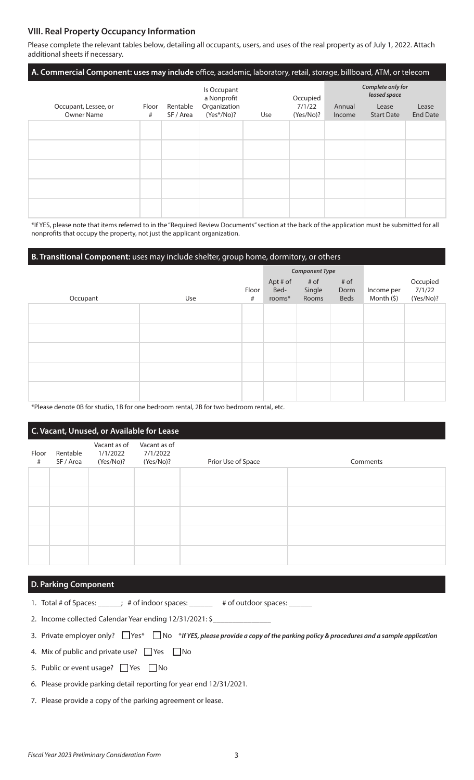## **VIII. Real Property Occupancy Information**

Please complete the relevant tables below, detailing all occupants, users, and uses of the real property as of July 1, 2022. Attach additional sheets if necessary.

| A. Commercial Component: uses may include office, academic, laboratory, retail, storage, billboard, ATM, or telecom |            |                       |                              |     |                                 |                                   |                            |                          |
|---------------------------------------------------------------------------------------------------------------------|------------|-----------------------|------------------------------|-----|---------------------------------|-----------------------------------|----------------------------|--------------------------|
|                                                                                                                     |            |                       | Is Occupant<br>a Nonprofit   |     | Occupied<br>7/1/22<br>(Yes/No)? | Complete only for<br>leased space |                            |                          |
| Occupant, Lessee, or<br><b>Owner Name</b>                                                                           | Floor<br># | Rentable<br>SF / Area | Organization<br>$(Yes*/No)?$ | Use |                                 | Annual<br>Income                  | Lease<br><b>Start Date</b> | Lease<br><b>End Date</b> |
|                                                                                                                     |            |                       |                              |     |                                 |                                   |                            |                          |
|                                                                                                                     |            |                       |                              |     |                                 |                                   |                            |                          |
|                                                                                                                     |            |                       |                              |     |                                 |                                   |                            |                          |
|                                                                                                                     |            |                       |                              |     |                                 |                                   |                            |                          |
|                                                                                                                     |            |                       |                              |     |                                 |                                   |                            |                          |

\*If YES, please note that items referred to in the "Required Review Documents" section at the back of the application must be submitted for all nonprofits that occupy the property, not just the applicant organization.

## **B. Transitional Component:** uses may include shelter, group home, dormitory, or others

|          |     |            | <b>Component Type</b>      |                         |                      |                          |                                 |
|----------|-----|------------|----------------------------|-------------------------|----------------------|--------------------------|---------------------------------|
| Occupant | Use | Floor<br># | Apt # of<br>Bed-<br>rooms* | # of<br>Single<br>Rooms | # of<br>Dorm<br>Beds | Income per<br>Month (\$) | Occupied<br>7/1/22<br>(Yes/No)? |
|          |     |            |                            |                         |                      |                          |                                 |
|          |     |            |                            |                         |                      |                          |                                 |
|          |     |            |                            |                         |                      |                          |                                 |
|          |     |            |                            |                         |                      |                          |                                 |
|          |     |            |                            |                         |                      |                          |                                 |

\*Please denote 0B for studio, 1B for one bedroom rental, 2B for two bedroom rental, etc.

| C. Vacant, Unused, or Available for Lease |                       |                                       |                                       |                    |          |  |
|-------------------------------------------|-----------------------|---------------------------------------|---------------------------------------|--------------------|----------|--|
| Floor<br>#                                | Rentable<br>SF / Area | Vacant as of<br>1/1/2022<br>(Yes/No)? | Vacant as of<br>7/1/2022<br>(Yes/No)? | Prior Use of Space | Comments |  |
|                                           |                       |                                       |                                       |                    |          |  |
|                                           |                       |                                       |                                       |                    |          |  |
|                                           |                       |                                       |                                       |                    |          |  |
|                                           |                       |                                       |                                       |                    |          |  |
|                                           |                       |                                       |                                       |                    |          |  |

#### **D. Parking Component**

- 1. Total # of Spaces: \_\_\_\_\_\_; # of indoor spaces: \_\_\_\_\_\_ # of outdoor spaces: \_\_
- 2. Income collected Calendar Year ending 12/31/2021: \$
- 3. Private employer only?  $\Box$  Yes\*  $\Box$  No \*If YES, please provide a copy of the parking policy & procedures and a sample application
- 4. Mix of public and private use?  $\Box$  Yes  $\Box$  No
- 5. Public or event usage? Ves Mo
- 6. Please provide parking detail reporting for year end 12/31/2021.
- 7. Please provide a copy of the parking agreement or lease.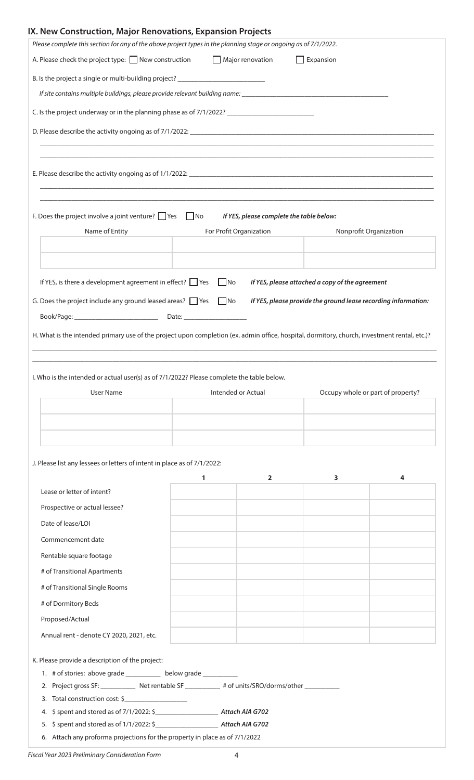# **IX. New Construction, Major Renovations, Expansion Projects**

| A. Please check the project type: $\Box$ New construction $\Box$ Major renovation<br>$\Box$ Expansion<br>B. Is the project a single or multi-building project? __________________________<br>If site contains multiple buildings, please provide relevant building name: __________________________________<br>C. Is the project underway or in the planning phase as of 7/1/2022? ________________________________<br>D. Please describe the activity ongoing as of 7/1/2022: <u>[2004]</u> [2016] [2016] [2016] [2016] [2016] [2016] [2016] [2016] [2016] [2016] [2016] [2016] [2016] [2016] [2016] [2016] [2016] [2016] [2016] [2016] [2016] [2016] [20<br>,我们也不会有什么。""我们的人,我们也不会有什么?""我们的人,我们也不会有什么?""我们的人,我们也不会有什么?""我们的人,我们也不会有什么?""我们的人<br>F. Does the project involve a joint venture? $\Box$ Yes $\Box$ No<br>If YES, please complete the table below:<br>Name of Entity<br>For Profit Organization<br>Nonprofit Organization<br>$\Box$ No<br>If YES, is there a development agreement in effect? $\Box$ Yes<br>If YES, please attached a copy of the agreement<br>G. Does the project include any ground leased areas? $\Box$ Yes $\Box$ No<br>If YES, please provide the ground lease recording information:<br>H. What is the intended primary use of the project upon completion (ex. admin office, hospital, dormitory, church, investment rental, etc.)?<br>I. Who is the intended or actual user(s) as of 7/1/2022? Please complete the table below.<br>Intended or Actual<br>Occupy whole or part of property?<br><b>User Name</b><br>J. Please list any lessees or letters of intent in place as of 7/1/2022:<br>1<br>$\overline{2}$<br>3<br>4<br>Lease or letter of intent?<br>Prospective or actual lessee?<br>Date of lease/LOI<br>Commencement date<br>Rentable square footage<br># of Transitional Apartments<br># of Transitional Single Rooms<br># of Dormitory Beds<br>Proposed/Actual<br>Annual rent - denote CY 2020, 2021, etc.<br>K. Please provide a description of the project:<br>1. # of stories: above grade _____________ below grade ___________<br>2. Project gross SF: _____________ Net rentable SF ____________ # of units/SRO/dorms/other _________<br>3. Total construction cost: \$ | Please complete this section for any of the above project types in the planning stage or ongoing as of 7/1/2022. |  |  |
|---------------------------------------------------------------------------------------------------------------------------------------------------------------------------------------------------------------------------------------------------------------------------------------------------------------------------------------------------------------------------------------------------------------------------------------------------------------------------------------------------------------------------------------------------------------------------------------------------------------------------------------------------------------------------------------------------------------------------------------------------------------------------------------------------------------------------------------------------------------------------------------------------------------------------------------------------------------------------------------------------------------------------------------------------------------------------------------------------------------------------------------------------------------------------------------------------------------------------------------------------------------------------------------------------------------------------------------------------------------------------------------------------------------------------------------------------------------------------------------------------------------------------------------------------------------------------------------------------------------------------------------------------------------------------------------------------------------------------------------------------------------------------------------------------------------------------------------------------------------------------------------------------------------------------------------------------------------------------------------------------------------------------------------------------------------------------------------------------------------------------------------------------------------------------------------------------------------------------------|------------------------------------------------------------------------------------------------------------------|--|--|
|                                                                                                                                                                                                                                                                                                                                                                                                                                                                                                                                                                                                                                                                                                                                                                                                                                                                                                                                                                                                                                                                                                                                                                                                                                                                                                                                                                                                                                                                                                                                                                                                                                                                                                                                                                                                                                                                                                                                                                                                                                                                                                                                                                                                                                 |                                                                                                                  |  |  |
|                                                                                                                                                                                                                                                                                                                                                                                                                                                                                                                                                                                                                                                                                                                                                                                                                                                                                                                                                                                                                                                                                                                                                                                                                                                                                                                                                                                                                                                                                                                                                                                                                                                                                                                                                                                                                                                                                                                                                                                                                                                                                                                                                                                                                                 |                                                                                                                  |  |  |
|                                                                                                                                                                                                                                                                                                                                                                                                                                                                                                                                                                                                                                                                                                                                                                                                                                                                                                                                                                                                                                                                                                                                                                                                                                                                                                                                                                                                                                                                                                                                                                                                                                                                                                                                                                                                                                                                                                                                                                                                                                                                                                                                                                                                                                 |                                                                                                                  |  |  |
|                                                                                                                                                                                                                                                                                                                                                                                                                                                                                                                                                                                                                                                                                                                                                                                                                                                                                                                                                                                                                                                                                                                                                                                                                                                                                                                                                                                                                                                                                                                                                                                                                                                                                                                                                                                                                                                                                                                                                                                                                                                                                                                                                                                                                                 |                                                                                                                  |  |  |
|                                                                                                                                                                                                                                                                                                                                                                                                                                                                                                                                                                                                                                                                                                                                                                                                                                                                                                                                                                                                                                                                                                                                                                                                                                                                                                                                                                                                                                                                                                                                                                                                                                                                                                                                                                                                                                                                                                                                                                                                                                                                                                                                                                                                                                 |                                                                                                                  |  |  |
|                                                                                                                                                                                                                                                                                                                                                                                                                                                                                                                                                                                                                                                                                                                                                                                                                                                                                                                                                                                                                                                                                                                                                                                                                                                                                                                                                                                                                                                                                                                                                                                                                                                                                                                                                                                                                                                                                                                                                                                                                                                                                                                                                                                                                                 |                                                                                                                  |  |  |
|                                                                                                                                                                                                                                                                                                                                                                                                                                                                                                                                                                                                                                                                                                                                                                                                                                                                                                                                                                                                                                                                                                                                                                                                                                                                                                                                                                                                                                                                                                                                                                                                                                                                                                                                                                                                                                                                                                                                                                                                                                                                                                                                                                                                                                 |                                                                                                                  |  |  |
|                                                                                                                                                                                                                                                                                                                                                                                                                                                                                                                                                                                                                                                                                                                                                                                                                                                                                                                                                                                                                                                                                                                                                                                                                                                                                                                                                                                                                                                                                                                                                                                                                                                                                                                                                                                                                                                                                                                                                                                                                                                                                                                                                                                                                                 |                                                                                                                  |  |  |
|                                                                                                                                                                                                                                                                                                                                                                                                                                                                                                                                                                                                                                                                                                                                                                                                                                                                                                                                                                                                                                                                                                                                                                                                                                                                                                                                                                                                                                                                                                                                                                                                                                                                                                                                                                                                                                                                                                                                                                                                                                                                                                                                                                                                                                 |                                                                                                                  |  |  |
|                                                                                                                                                                                                                                                                                                                                                                                                                                                                                                                                                                                                                                                                                                                                                                                                                                                                                                                                                                                                                                                                                                                                                                                                                                                                                                                                                                                                                                                                                                                                                                                                                                                                                                                                                                                                                                                                                                                                                                                                                                                                                                                                                                                                                                 |                                                                                                                  |  |  |
|                                                                                                                                                                                                                                                                                                                                                                                                                                                                                                                                                                                                                                                                                                                                                                                                                                                                                                                                                                                                                                                                                                                                                                                                                                                                                                                                                                                                                                                                                                                                                                                                                                                                                                                                                                                                                                                                                                                                                                                                                                                                                                                                                                                                                                 |                                                                                                                  |  |  |
|                                                                                                                                                                                                                                                                                                                                                                                                                                                                                                                                                                                                                                                                                                                                                                                                                                                                                                                                                                                                                                                                                                                                                                                                                                                                                                                                                                                                                                                                                                                                                                                                                                                                                                                                                                                                                                                                                                                                                                                                                                                                                                                                                                                                                                 |                                                                                                                  |  |  |
|                                                                                                                                                                                                                                                                                                                                                                                                                                                                                                                                                                                                                                                                                                                                                                                                                                                                                                                                                                                                                                                                                                                                                                                                                                                                                                                                                                                                                                                                                                                                                                                                                                                                                                                                                                                                                                                                                                                                                                                                                                                                                                                                                                                                                                 |                                                                                                                  |  |  |
|                                                                                                                                                                                                                                                                                                                                                                                                                                                                                                                                                                                                                                                                                                                                                                                                                                                                                                                                                                                                                                                                                                                                                                                                                                                                                                                                                                                                                                                                                                                                                                                                                                                                                                                                                                                                                                                                                                                                                                                                                                                                                                                                                                                                                                 |                                                                                                                  |  |  |
|                                                                                                                                                                                                                                                                                                                                                                                                                                                                                                                                                                                                                                                                                                                                                                                                                                                                                                                                                                                                                                                                                                                                                                                                                                                                                                                                                                                                                                                                                                                                                                                                                                                                                                                                                                                                                                                                                                                                                                                                                                                                                                                                                                                                                                 |                                                                                                                  |  |  |
|                                                                                                                                                                                                                                                                                                                                                                                                                                                                                                                                                                                                                                                                                                                                                                                                                                                                                                                                                                                                                                                                                                                                                                                                                                                                                                                                                                                                                                                                                                                                                                                                                                                                                                                                                                                                                                                                                                                                                                                                                                                                                                                                                                                                                                 |                                                                                                                  |  |  |
|                                                                                                                                                                                                                                                                                                                                                                                                                                                                                                                                                                                                                                                                                                                                                                                                                                                                                                                                                                                                                                                                                                                                                                                                                                                                                                                                                                                                                                                                                                                                                                                                                                                                                                                                                                                                                                                                                                                                                                                                                                                                                                                                                                                                                                 |                                                                                                                  |  |  |
|                                                                                                                                                                                                                                                                                                                                                                                                                                                                                                                                                                                                                                                                                                                                                                                                                                                                                                                                                                                                                                                                                                                                                                                                                                                                                                                                                                                                                                                                                                                                                                                                                                                                                                                                                                                                                                                                                                                                                                                                                                                                                                                                                                                                                                 |                                                                                                                  |  |  |
|                                                                                                                                                                                                                                                                                                                                                                                                                                                                                                                                                                                                                                                                                                                                                                                                                                                                                                                                                                                                                                                                                                                                                                                                                                                                                                                                                                                                                                                                                                                                                                                                                                                                                                                                                                                                                                                                                                                                                                                                                                                                                                                                                                                                                                 |                                                                                                                  |  |  |
|                                                                                                                                                                                                                                                                                                                                                                                                                                                                                                                                                                                                                                                                                                                                                                                                                                                                                                                                                                                                                                                                                                                                                                                                                                                                                                                                                                                                                                                                                                                                                                                                                                                                                                                                                                                                                                                                                                                                                                                                                                                                                                                                                                                                                                 |                                                                                                                  |  |  |
|                                                                                                                                                                                                                                                                                                                                                                                                                                                                                                                                                                                                                                                                                                                                                                                                                                                                                                                                                                                                                                                                                                                                                                                                                                                                                                                                                                                                                                                                                                                                                                                                                                                                                                                                                                                                                                                                                                                                                                                                                                                                                                                                                                                                                                 |                                                                                                                  |  |  |
|                                                                                                                                                                                                                                                                                                                                                                                                                                                                                                                                                                                                                                                                                                                                                                                                                                                                                                                                                                                                                                                                                                                                                                                                                                                                                                                                                                                                                                                                                                                                                                                                                                                                                                                                                                                                                                                                                                                                                                                                                                                                                                                                                                                                                                 |                                                                                                                  |  |  |
|                                                                                                                                                                                                                                                                                                                                                                                                                                                                                                                                                                                                                                                                                                                                                                                                                                                                                                                                                                                                                                                                                                                                                                                                                                                                                                                                                                                                                                                                                                                                                                                                                                                                                                                                                                                                                                                                                                                                                                                                                                                                                                                                                                                                                                 |                                                                                                                  |  |  |
|                                                                                                                                                                                                                                                                                                                                                                                                                                                                                                                                                                                                                                                                                                                                                                                                                                                                                                                                                                                                                                                                                                                                                                                                                                                                                                                                                                                                                                                                                                                                                                                                                                                                                                                                                                                                                                                                                                                                                                                                                                                                                                                                                                                                                                 |                                                                                                                  |  |  |
|                                                                                                                                                                                                                                                                                                                                                                                                                                                                                                                                                                                                                                                                                                                                                                                                                                                                                                                                                                                                                                                                                                                                                                                                                                                                                                                                                                                                                                                                                                                                                                                                                                                                                                                                                                                                                                                                                                                                                                                                                                                                                                                                                                                                                                 |                                                                                                                  |  |  |
|                                                                                                                                                                                                                                                                                                                                                                                                                                                                                                                                                                                                                                                                                                                                                                                                                                                                                                                                                                                                                                                                                                                                                                                                                                                                                                                                                                                                                                                                                                                                                                                                                                                                                                                                                                                                                                                                                                                                                                                                                                                                                                                                                                                                                                 |                                                                                                                  |  |  |
|                                                                                                                                                                                                                                                                                                                                                                                                                                                                                                                                                                                                                                                                                                                                                                                                                                                                                                                                                                                                                                                                                                                                                                                                                                                                                                                                                                                                                                                                                                                                                                                                                                                                                                                                                                                                                                                                                                                                                                                                                                                                                                                                                                                                                                 |                                                                                                                  |  |  |
|                                                                                                                                                                                                                                                                                                                                                                                                                                                                                                                                                                                                                                                                                                                                                                                                                                                                                                                                                                                                                                                                                                                                                                                                                                                                                                                                                                                                                                                                                                                                                                                                                                                                                                                                                                                                                                                                                                                                                                                                                                                                                                                                                                                                                                 |                                                                                                                  |  |  |
|                                                                                                                                                                                                                                                                                                                                                                                                                                                                                                                                                                                                                                                                                                                                                                                                                                                                                                                                                                                                                                                                                                                                                                                                                                                                                                                                                                                                                                                                                                                                                                                                                                                                                                                                                                                                                                                                                                                                                                                                                                                                                                                                                                                                                                 |                                                                                                                  |  |  |
|                                                                                                                                                                                                                                                                                                                                                                                                                                                                                                                                                                                                                                                                                                                                                                                                                                                                                                                                                                                                                                                                                                                                                                                                                                                                                                                                                                                                                                                                                                                                                                                                                                                                                                                                                                                                                                                                                                                                                                                                                                                                                                                                                                                                                                 |                                                                                                                  |  |  |
|                                                                                                                                                                                                                                                                                                                                                                                                                                                                                                                                                                                                                                                                                                                                                                                                                                                                                                                                                                                                                                                                                                                                                                                                                                                                                                                                                                                                                                                                                                                                                                                                                                                                                                                                                                                                                                                                                                                                                                                                                                                                                                                                                                                                                                 |                                                                                                                  |  |  |
|                                                                                                                                                                                                                                                                                                                                                                                                                                                                                                                                                                                                                                                                                                                                                                                                                                                                                                                                                                                                                                                                                                                                                                                                                                                                                                                                                                                                                                                                                                                                                                                                                                                                                                                                                                                                                                                                                                                                                                                                                                                                                                                                                                                                                                 |                                                                                                                  |  |  |
|                                                                                                                                                                                                                                                                                                                                                                                                                                                                                                                                                                                                                                                                                                                                                                                                                                                                                                                                                                                                                                                                                                                                                                                                                                                                                                                                                                                                                                                                                                                                                                                                                                                                                                                                                                                                                                                                                                                                                                                                                                                                                                                                                                                                                                 |                                                                                                                  |  |  |
|                                                                                                                                                                                                                                                                                                                                                                                                                                                                                                                                                                                                                                                                                                                                                                                                                                                                                                                                                                                                                                                                                                                                                                                                                                                                                                                                                                                                                                                                                                                                                                                                                                                                                                                                                                                                                                                                                                                                                                                                                                                                                                                                                                                                                                 |                                                                                                                  |  |  |
|                                                                                                                                                                                                                                                                                                                                                                                                                                                                                                                                                                                                                                                                                                                                                                                                                                                                                                                                                                                                                                                                                                                                                                                                                                                                                                                                                                                                                                                                                                                                                                                                                                                                                                                                                                                                                                                                                                                                                                                                                                                                                                                                                                                                                                 |                                                                                                                  |  |  |
|                                                                                                                                                                                                                                                                                                                                                                                                                                                                                                                                                                                                                                                                                                                                                                                                                                                                                                                                                                                                                                                                                                                                                                                                                                                                                                                                                                                                                                                                                                                                                                                                                                                                                                                                                                                                                                                                                                                                                                                                                                                                                                                                                                                                                                 |                                                                                                                  |  |  |
|                                                                                                                                                                                                                                                                                                                                                                                                                                                                                                                                                                                                                                                                                                                                                                                                                                                                                                                                                                                                                                                                                                                                                                                                                                                                                                                                                                                                                                                                                                                                                                                                                                                                                                                                                                                                                                                                                                                                                                                                                                                                                                                                                                                                                                 |                                                                                                                  |  |  |
|                                                                                                                                                                                                                                                                                                                                                                                                                                                                                                                                                                                                                                                                                                                                                                                                                                                                                                                                                                                                                                                                                                                                                                                                                                                                                                                                                                                                                                                                                                                                                                                                                                                                                                                                                                                                                                                                                                                                                                                                                                                                                                                                                                                                                                 |                                                                                                                  |  |  |
|                                                                                                                                                                                                                                                                                                                                                                                                                                                                                                                                                                                                                                                                                                                                                                                                                                                                                                                                                                                                                                                                                                                                                                                                                                                                                                                                                                                                                                                                                                                                                                                                                                                                                                                                                                                                                                                                                                                                                                                                                                                                                                                                                                                                                                 |                                                                                                                  |  |  |
|                                                                                                                                                                                                                                                                                                                                                                                                                                                                                                                                                                                                                                                                                                                                                                                                                                                                                                                                                                                                                                                                                                                                                                                                                                                                                                                                                                                                                                                                                                                                                                                                                                                                                                                                                                                                                                                                                                                                                                                                                                                                                                                                                                                                                                 |                                                                                                                  |  |  |
| 6. Attach any proforma projections for the property in place as of 7/1/2022                                                                                                                                                                                                                                                                                                                                                                                                                                                                                                                                                                                                                                                                                                                                                                                                                                                                                                                                                                                                                                                                                                                                                                                                                                                                                                                                                                                                                                                                                                                                                                                                                                                                                                                                                                                                                                                                                                                                                                                                                                                                                                                                                     |                                                                                                                  |  |  |